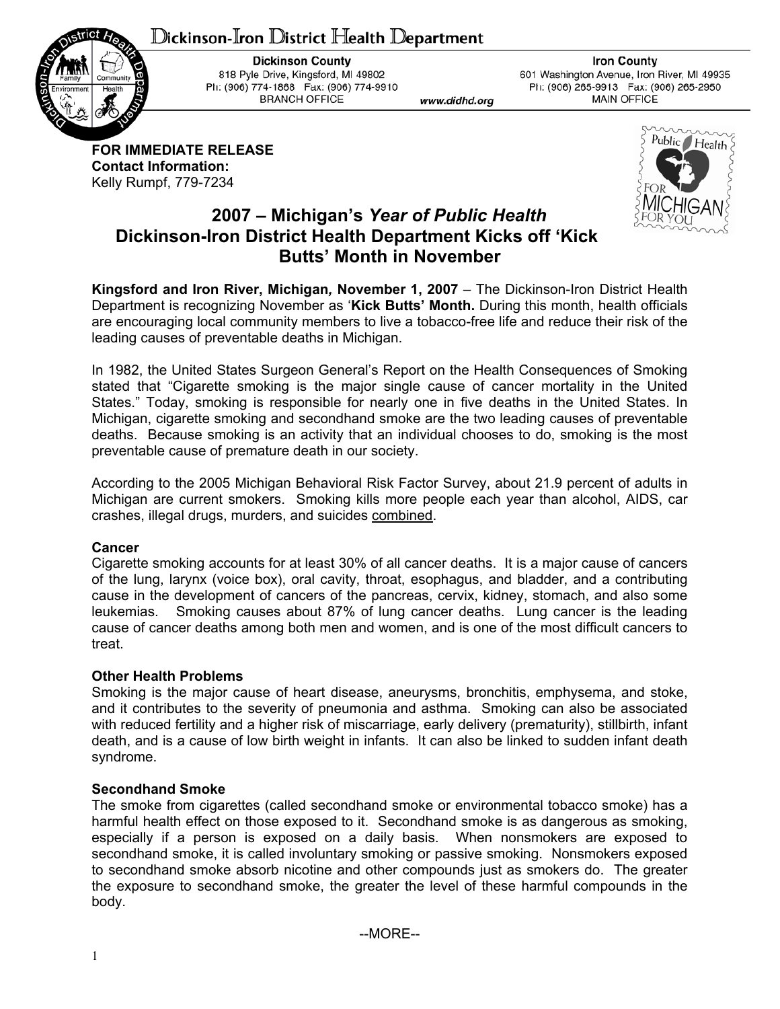# ${\mathbb D}$ ickinson-Iron  ${\mathbb D}$ istrict Health  ${\mathbb D}$ epartment



**Dickinson County** 818 Pyle Drive, Kingsford, MI 49802 Ph: (906) 774-1868 Fax: (906) 774-9910 **BRANCH OFFICE** 

www.didhd.org

**Iron County** 601 Washington Avenue, Iron River, MI 49935 Ph: (906) 265-9913 Fax: (906) 265-2950 **MAIN OFFICE** 

**FOR IMMEDIATE RELEASE Contact Information:**  Kelly Rumpf, 779-7234



# **2007 – Michigan's** *Year of Public Health* **Dickinson-Iron District Health Department Kicks off 'Kick Butts' Month in November**

**Kingsford and Iron River, Michigan***,* **November 1, 2007** – The Dickinson-Iron District Health Department is recognizing November as '**Kick Butts' Month.** During this month, health officials are encouraging local community members to live a tobacco-free life and reduce their risk of the leading causes of preventable deaths in Michigan.

In 1982, the United States Surgeon General's Report on the Health Consequences of Smoking stated that "Cigarette smoking is the major single cause of cancer mortality in the United States." Today, smoking is responsible for nearly one in five deaths in the United States. In Michigan, cigarette smoking and secondhand smoke are the two leading causes of preventable deaths. Because smoking is an activity that an individual chooses to do, smoking is the most preventable cause of premature death in our society.

According to the 2005 Michigan Behavioral Risk Factor Survey, about 21.9 percent of adults in Michigan are current smokers. Smoking kills more people each year than alcohol, AIDS, car crashes, illegal drugs, murders, and suicides combined.

## **Cancer**

Cigarette smoking accounts for at least 30% of all cancer deaths. It is a major cause of cancers of the lung, larynx (voice box), oral cavity, throat, esophagus, and bladder, and a contributing cause in the development of cancers of the pancreas, cervix, kidney, stomach, and also some leukemias. Smoking causes about 87% of lung cancer deaths. Lung cancer is the leading cause of cancer deaths among both men and women, and is one of the most difficult cancers to treat.

# **Other Health Problems**

Smoking is the major cause of heart disease, aneurysms, bronchitis, emphysema, and stoke, and it contributes to the severity of pneumonia and asthma. Smoking can also be associated with reduced fertility and a higher risk of miscarriage, early delivery (prematurity), stillbirth, infant death, and is a cause of low birth weight in infants. It can also be linked to sudden infant death syndrome.

## **Secondhand Smoke**

The smoke from cigarettes (called secondhand smoke or environmental tobacco smoke) has a harmful health effect on those exposed to it. Secondhand smoke is as dangerous as smoking, especially if a person is exposed on a daily basis. When nonsmokers are exposed to secondhand smoke, it is called involuntary smoking or passive smoking. Nonsmokers exposed to secondhand smoke absorb nicotine and other compounds just as smokers do. The greater the exposure to secondhand smoke, the greater the level of these harmful compounds in the body.